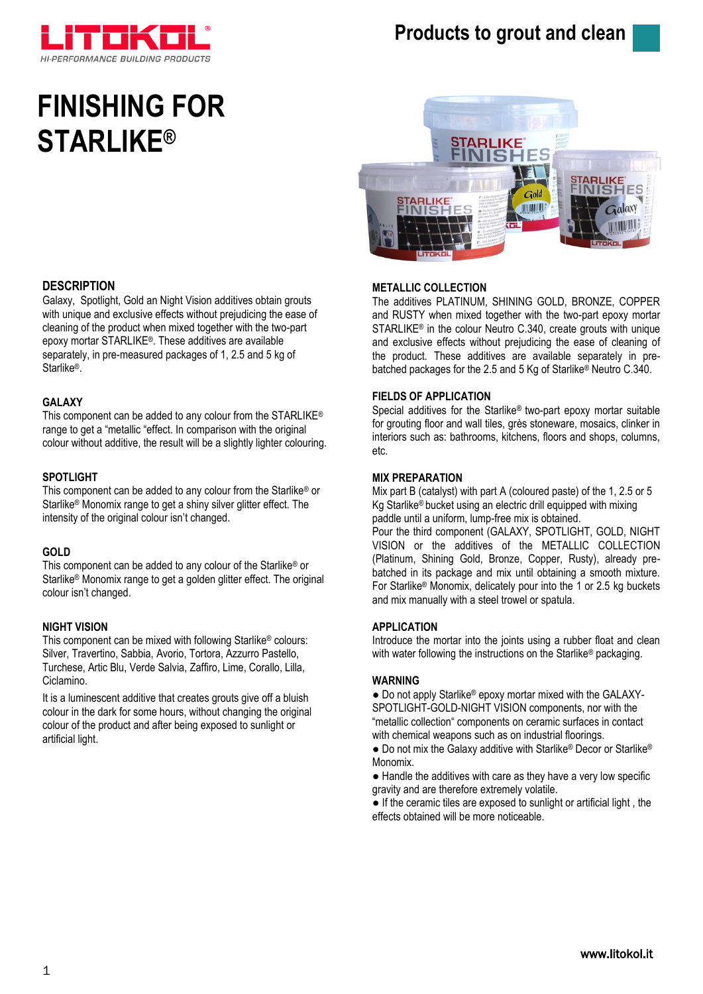

# **Products to grout and clean**

# **FINISHING FOR STARLIKE®**



# **METALLIC COLLECTION**

The additives PLATINUM, SHINING GOLD, BRONZE, COPPER and RUSTY when mixed together with the two-part epoxy mortar STARLIKE® in the colour Neutro C.340, create grouts with unique and exclusive effects without prejudicing the ease of cleaning of the product. These additives are available separately in prebatched packages for the 2.5 and 5 Kg of Starlike® Neutro C.340.

# **FIELDS OF APPLICATION**

Special additives for the Starlike® two-part epoxy mortar suitable for grouting floor and wall tiles, grès stoneware, mosaics, clinker in interiors such as: bathrooms, kitchens, floors and shops, columns, etc.

# **MIX PREPARATION**

Mix part B (catalyst) with part A (coloured paste) of the 1, 2.5 or 5 Kg Starlike® bucket using an electric drill equipped with mixing paddle until a uniform, lump-free mix is obtained.

Pour the third component (GALAXY, SPOTLIGHT, GOLD, NIGHT VISION or the additives of the METALLIC COLLECTION (Platinum, Shining Gold, Bronze, Copper, Rusty), already prebatched in its package and mix until obtaining a smooth mixture. For Starlike® Monomix, delicately pour into the 1 or 2.5 kg buckets and mix manually with a steel trowel or spatula.

#### **APPLICATION**

Introduce the mortar into the joints using a rubber float and clean with water following the instructions on the Starlike® packaging.

#### **WARNING**

• Do not apply Starlike<sup>®</sup> epoxy mortar mixed with the GALAXY-SPOTLIGHT-GOLD-NIGHT VISION components, nor with the "metallic collection" components on ceramic surfaces in contact with chemical weapons such as on industrial floorings.

● Do not mix the Galaxy additive with Starlike® Decor or Starlike® Monomix.

● Handle the additives with care as they have a very low specific gravity and are therefore extremely volatile.

● If the ceramic tiles are exposed to sunlight or artificial light , the effects obtained will be more noticeable.

# **DESCRIPTION**

Galaxy, Spotlight, Gold an Night Vision additives obtain grouts with unique and exclusive effects without prejudicing the ease of cleaning of the product when mixed together with the two-part epoxy mortar STARLIKE®. These additives are available separately, in pre-measured packages of 1, 2.5 and 5 kg of Starlike<sup>®</sup>.

### **GALAXY**

This component can be added to any colour from the STARLIKE® range to get a "metallic "effect. In comparison with the original colour without additive, the result will be a slightly lighter colouring.

# **SPOTLIGHT**

This component can be added to any colour from the Starlike® or Starlike® Monomix range to get a shiny silver glitter effect. The intensity of the original colour isn't changed.

# **GOLD**

This component can be added to any colour of the Starlike® or Starlike® Monomix range to get a golden glitter effect. The original colour isn't changed.

# **NIGHT VISION**

This component can be mixed with following Starlike® colours: Silver, Travertino, Sabbia, Avorio, Tortora, Azzurro Pastello, Turchese, Artic Blu, Verde Salvia, Zaffiro, Lime, Corallo, Lilla, Ciclamino.

It is a luminescent additive that creates grouts give off a bluish colour in the dark for some hours, without changing the original colour of the product and after being exposed to sunlight or artificial light.